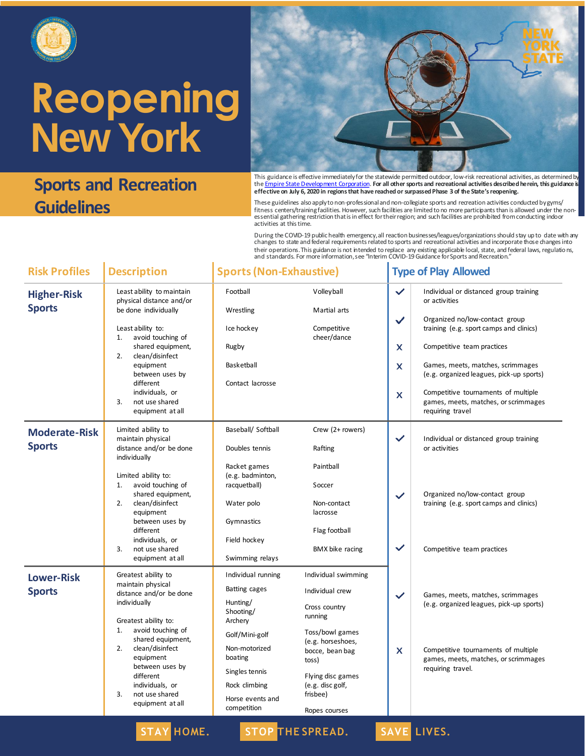

### **Sports and Recreation Guidelines**



This guidance is effective immediatelyfor the statewide permitted outdoor, low-risk recreational activities, as determined by<br>the <u>Empire State Development Corporation</u>. **For all other sports and recreational activities de effective on July 6, 2020 in regions that have reached or surpassed Phase 3 of the State's reopening.**

These guidelines also apply to non-professional and non-collegiate sports and recreation activities conducted by gyms/ fitness centers/trainingfacilities. However, such facilities are limited to no more participants than is allowed under the non-<br>essential gathering restriction that is in effect for their region; and such facilities are pr activities at this time.

During the COVID-19 public health emergency, all reaction businesses/leagues/organizations should stay up to date with any<br>changes to state and federal requirements related to sports and recreational activities and incorpo their operations.This guidance is not intended to replace any existing applicable local, state, and federal laws, regulations,<br>and standards. For more information, see "Interim COVID-19 Guidance for Sports and Recreation.

| <b>Risk Profiles</b>                  | <b>Description</b>                                                                                                                                                                                                                                                                               | <b>Sports (Non-Exhaustive)</b>                                                                                                                                                              |                                                                                                                                                                                                              |                                              | <b>Type of Play Allowed</b>                                                                                                                                                                                                                                                                                                                            |  |  |
|---------------------------------------|--------------------------------------------------------------------------------------------------------------------------------------------------------------------------------------------------------------------------------------------------------------------------------------------------|---------------------------------------------------------------------------------------------------------------------------------------------------------------------------------------------|--------------------------------------------------------------------------------------------------------------------------------------------------------------------------------------------------------------|----------------------------------------------|--------------------------------------------------------------------------------------------------------------------------------------------------------------------------------------------------------------------------------------------------------------------------------------------------------------------------------------------------------|--|--|
| <b>Higher-Risk</b><br><b>Sports</b>   | Least ability to maintain<br>physical distance and/or<br>be done individually<br>Least ability to:<br>avoid touching of<br>1.<br>shared equipment,<br>2.<br>clean/disinfect<br>equipment<br>between uses by<br>different<br>individuals, or<br>3.<br>not use shared<br>equipment at all          | Football<br>Wrestling<br>Ice hockey<br>Rugby<br>Basketball<br>Contact lacrosse                                                                                                              | Volleyball<br>Martial arts<br>Competitive<br>cheer/dance                                                                                                                                                     | $\checkmark$<br>$\checkmark$<br>x<br>X<br>X  | Individual or distanced group training<br>or activities<br>Organized no/low-contact group<br>training (e.g. sport camps and clinics)<br>Competitive team practices<br>Games, meets, matches, scrimmages<br>(e.g. organized leagues, pick-up sports)<br>Competitive tournaments of multiple<br>games, meets, matches, or scrimmages<br>requiring travel |  |  |
| <b>Moderate-Risk</b><br><b>Sports</b> | Limited ability to<br>maintain physical<br>distance and/or be done<br>individually<br>Limited ability to:<br>1.<br>avoid touching of<br>shared equipment,<br>2.<br>clean/disinfect<br>equipment<br>between uses by<br>different<br>individuals, or<br>3.<br>not use shared<br>equipment at all   | Baseball/ Softball<br>Doubles tennis<br>Racket games<br>(e.g. badminton,<br>racquetball)<br>Water polo<br>Gymnastics<br>Field hockey<br>Swimming relays                                     | Crew (2+ rowers)<br>Rafting<br>Paintball<br>Soccer<br>Non-contact<br>lacrosse<br>Flag football<br><b>BMX</b> bike racing                                                                                     | $\checkmark$<br>$\checkmark$<br>$\checkmark$ | Individual or distanced group training<br>or activities<br>Organized no/low-contact group<br>training (e.g. sport camps and clinics)<br>Competitive team practices                                                                                                                                                                                     |  |  |
| <b>Lower-Risk</b><br><b>Sports</b>    | Greatest ability to<br>maintain physical<br>distance and/or be done<br>individually<br>Greatest ability to:<br>avoid touching of<br>1.<br>shared equipment,<br>clean/disinfect<br>2.<br>equipment<br>between uses by<br>different<br>individuals, or<br>not use shared<br>3.<br>equipment at all | Individual running<br>Batting cages<br>Hunting/<br>Shooting/<br>Archery<br>Golf/Mini-golf<br>Non-motorized<br>boating<br>Singles tennis<br>Rock climbing<br>Horse events and<br>competition | Individual swimming<br>Individual crew<br>Cross country<br>running<br>Toss/bowl games<br>(e.g. horseshoes,<br>bocce, bean bag<br>toss)<br>Flying disc games<br>(e.g. disc golf,<br>frisbee)<br>Ropes courses | $\checkmark$<br>x                            | Games, meets, matches, scrimmages<br>(e.g. organized leagues, pick-up sports)<br>Competitive tournaments of multiple<br>games, meets, matches, or scrimmages<br>requiring travel.                                                                                                                                                                      |  |  |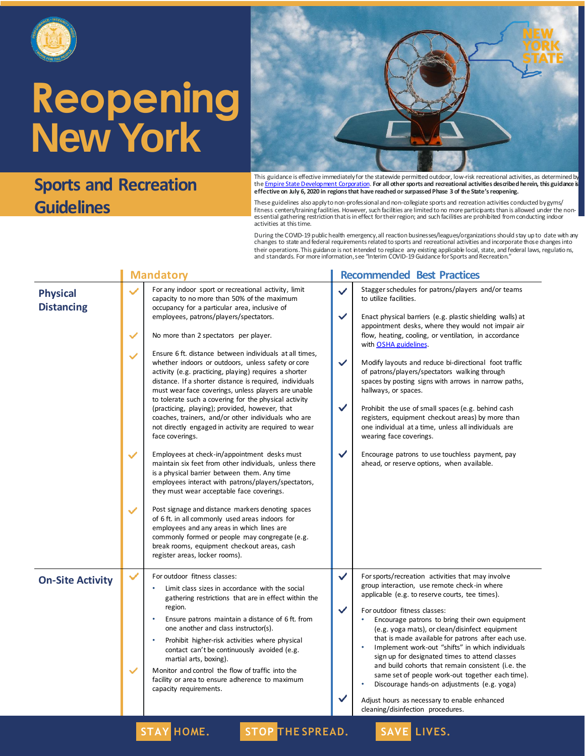

### **Sports and Recreation Guidelines**



This guidance is effective immediatelyfor the statewide permitted outdoor, low-risk recreational activities, as determined by<br>the <u>Empire State Development Corporation</u>. **For all other sports and recreational activities de effective on July 6, 2020 in regions that have reached or surpassed Phase 3 of the State's reopening.**

These guidelines also apply to non-professional and non-collegiate sports and recreation activities conducted by gyms/ fitness centers/trainingfacilities. However, such facilities are limited to no more participants than is allowed under the non-<br>essential gathering restriction that is in effect for their region; and such facilities are pr activities at this time.

During the COVID-19 public health emergency, all reaction businesses/leagues/organizations should stay up to date with any<br>changes to state and federal requirements related to sports and recreational activities and incorpo their operations. This guidance is not intended to replace any existing applicable local, state, and federal laws, regulations, and standards. For more information, see "Interim COVID-19 Guidance for Sports and Recreation."

|                                                                              | <b>Mandatory</b>                                                                                                                                                                                                                                                                                                                                                                                                                                                                                                                                                                                                                                                                                                                                                                                                                                                                                                                                                                                                                                                                                                                                                                                                                                                                                                                           |                                                                              | <b>Recommended Best Practices</b>                                                                                                                                                                                                                                                                                                                                                                                                                                                                                                                                                                                                                                                                                                                                          |
|------------------------------------------------------------------------------|--------------------------------------------------------------------------------------------------------------------------------------------------------------------------------------------------------------------------------------------------------------------------------------------------------------------------------------------------------------------------------------------------------------------------------------------------------------------------------------------------------------------------------------------------------------------------------------------------------------------------------------------------------------------------------------------------------------------------------------------------------------------------------------------------------------------------------------------------------------------------------------------------------------------------------------------------------------------------------------------------------------------------------------------------------------------------------------------------------------------------------------------------------------------------------------------------------------------------------------------------------------------------------------------------------------------------------------------|------------------------------------------------------------------------------|----------------------------------------------------------------------------------------------------------------------------------------------------------------------------------------------------------------------------------------------------------------------------------------------------------------------------------------------------------------------------------------------------------------------------------------------------------------------------------------------------------------------------------------------------------------------------------------------------------------------------------------------------------------------------------------------------------------------------------------------------------------------------|
| $\checkmark$<br>$\checkmark$<br>$\checkmark$<br>$\checkmark$<br>$\checkmark$ | For any indoor sport or recreational activity, limit<br>capacity to no more than 50% of the maximum<br>occupancy for a particular area, inclusive of<br>employees, patrons/players/spectators.<br>No more than 2 spectators per player.<br>Ensure 6 ft. distance between individuals at all times,<br>whether indoors or outdoors, unless safety or core<br>activity (e.g. practicing, playing) requires a shorter<br>distance. If a shorter distance is required, individuals<br>must wear face coverings, unless players are unable<br>to tolerate such a covering for the physical activity<br>(practicing, playing); provided, however, that<br>coaches, trainers, and/or other individuals who are<br>not directly engaged in activity are required to wear<br>face coverings.<br>Employees at check-in/appointment desks must<br>maintain six feet from other individuals, unless there<br>is a physical barrier between them. Any time<br>employees interact with patrons/players/spectators,<br>they must wear acceptable face coverings.<br>Post signage and distance markers denoting spaces<br>of 6 ft. in all commonly used areas indoors for<br>employees and any areas in which lines are<br>commonly formed or people may congregate (e.g.<br>break rooms, equipment checkout areas, cash<br>register areas, locker rooms). | $\checkmark$<br>$\checkmark$<br>$\checkmark$<br>$\checkmark$<br>$\checkmark$ | Stagger schedules for patrons/players and/or teams<br>to utilize facilities.<br>Enact physical barriers (e.g. plastic shielding walls) at<br>appointment desks, where they would not impair air<br>flow, heating, cooling, or ventilation, in accordance<br>with OSHA guidelines.<br>Modify layouts and reduce bi-directional foot traffic<br>of patrons/players/spectators walking through<br>spaces by posting signs with arrows in narrow paths,<br>hallways, or spaces.<br>Prohibit the use of small spaces (e.g. behind cash<br>registers, equipment checkout areas) by more than<br>one individual at a time, unless all individuals are<br>wearing face coverings.<br>Encourage patrons to use touchless payment, pay<br>ahead, or reserve options, when available. |
| $\checkmark$                                                                 | For outdoor fitness classes:<br>Limit class sizes in accordance with the social<br>gathering restrictions that are in effect within the<br>region.<br>Ensure patrons maintain a distance of 6 ft. from<br>$\bullet$<br>one another and class instructor(s).<br>Prohibit higher-risk activities where physical<br>contact can't be continuously avoided (e.g.<br>martial arts, boxing).<br>Monitor and control the flow of traffic into the<br>facility or area to ensure adherence to maximum<br>capacity requirements.                                                                                                                                                                                                                                                                                                                                                                                                                                                                                                                                                                                                                                                                                                                                                                                                                    | $\checkmark$<br>$\checkmark$                                                 | For sports/recreation activities that may involve<br>group interaction, use remote check-in where<br>applicable (e.g. to reserve courts, tee times).<br>For outdoor fitness classes:<br>Encourage patrons to bring their own equipment<br>(e.g. yoga mats), or clean/disinfect equipment<br>that is made available for patrons after each use.<br>Implement work-out "shifts" in which individuals<br>sign up for designated times to attend classes<br>and build cohorts that remain consistent (i.e. the<br>same set of people work-out together each time).<br>Discourage hands-on adjustments (e.g. yoga)<br>Adjust hours as necessary to enable enhanced<br>cleaning/disinfection procedures.                                                                         |
|                                                                              |                                                                                                                                                                                                                                                                                                                                                                                                                                                                                                                                                                                                                                                                                                                                                                                                                                                                                                                                                                                                                                                                                                                                                                                                                                                                                                                                            |                                                                              |                                                                                                                                                                                                                                                                                                                                                                                                                                                                                                                                                                                                                                                                                                                                                                            |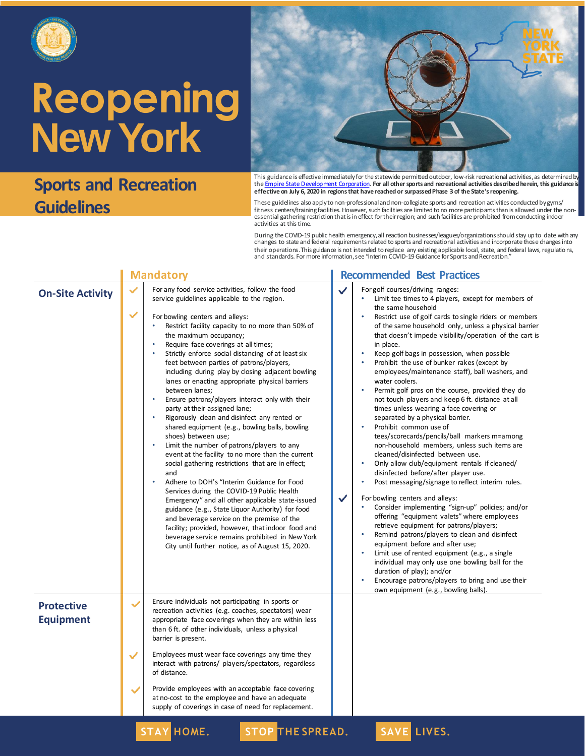

### **Sports and Recreation Guidelines**



This guidance is effective immediatelyfor the statewide permitted outdoor, low-risk recreational activities, as determined by<br>the <u>Empire State Development Corporation</u>. **For all other sports and recreational activities de effective on July 6, 2020 in regions that have reached or surpassed Phase 3 of the State's reopening.**

These guidelines also apply to non-professional and non-collegiate sports and recreation activities conducted by gyms/ fitness centers/trainingfacilities. However, such facilities are limited to no more participants than is allowed under the non-<br>essential gathering restriction that is in effect for their region; and such facilities are pr activities at this time.

During the COVID-19 public health emergency, all reaction businesses/leagues/organizations should stay up to date with any<br>changes to state and federal requirements related to sports and recreational activities and incorpo their operations.This guidance is not intended to replace any existing applicable local, state, and federal laws, regulations,<br>and standards. For more information, see "Interim COVID-19 Guidance for Sports and Recreation.

|                                       | <b>Mandatory</b>  |                                                                                                                                                                                                                                                                                                                                                                                                                                                                                                                                                                                                                                                                                                                                                                                                                                                                                                                                                                                                                                                                                                                                                                                                                                                                                   |        | <b>Recommended Best Practices</b>                                                                                                                                                                                                                                                                                                                                                                                                                                                                                                                                                                                                                                                                                                                                                                                                                                                                                                                                                                                                                                                                                                                                                                                                                                                                                                                                                                                                                                                                                                                                   |  |  |
|---------------------------------------|-------------------|-----------------------------------------------------------------------------------------------------------------------------------------------------------------------------------------------------------------------------------------------------------------------------------------------------------------------------------------------------------------------------------------------------------------------------------------------------------------------------------------------------------------------------------------------------------------------------------------------------------------------------------------------------------------------------------------------------------------------------------------------------------------------------------------------------------------------------------------------------------------------------------------------------------------------------------------------------------------------------------------------------------------------------------------------------------------------------------------------------------------------------------------------------------------------------------------------------------------------------------------------------------------------------------|--------|---------------------------------------------------------------------------------------------------------------------------------------------------------------------------------------------------------------------------------------------------------------------------------------------------------------------------------------------------------------------------------------------------------------------------------------------------------------------------------------------------------------------------------------------------------------------------------------------------------------------------------------------------------------------------------------------------------------------------------------------------------------------------------------------------------------------------------------------------------------------------------------------------------------------------------------------------------------------------------------------------------------------------------------------------------------------------------------------------------------------------------------------------------------------------------------------------------------------------------------------------------------------------------------------------------------------------------------------------------------------------------------------------------------------------------------------------------------------------------------------------------------------------------------------------------------------|--|--|
| <b>On-Site Activity</b>               | $\checkmark$      | For any food service activities, follow the food<br>service guidelines applicable to the region.<br>For bowling centers and alleys:<br>Restrict facility capacity to no more than 50% of<br>the maximum occupancy;<br>Require face coverings at all times;<br>Strictly enforce social distancing of at least six<br>feet between parties of patrons/players,<br>including during play by closing adjacent bowling<br>lanes or enacting appropriate physical barriers<br>between lanes;<br>Ensure patrons/players interact only with their<br>party at their assigned lane;<br>Rigorously clean and disinfect any rented or<br>shared equipment (e.g., bowling balls, bowling<br>shoes) between use;<br>Limit the number of patrons/players to any<br>event at the facility to no more than the current<br>social gathering restrictions that are in effect;<br>and<br>Adhere to DOH's "Interim Guidance for Food<br>Services during the COVID-19 Public Health<br>Emergency" and all other applicable state-issued<br>guidance (e.g., State Liquor Authority) for food<br>and beverage service on the premise of the<br>facility; provided, however, that indoor food and<br>beverage service remains prohibited in New York<br>City until further notice, as of August 15, 2020. | ✓<br>✓ | For golf courses/driving ranges:<br>Limit tee times to 4 players, except for members of<br>the same household<br>Restrict use of golf cards to single riders or members<br>$\bullet$<br>of the same household only, unless a physical barrier<br>that doesn't impede visibility/operation of the cart is<br>in place.<br>Keep golf bags in possession, when possible<br>$\bullet$<br>Prohibit the use of bunker rakes (except by<br>$\bullet$<br>employees/maintenance staff), ball washers, and<br>water coolers.<br>Permit golf pros on the course, provided they do<br>$\bullet$<br>not touch players and keep 6 ft. distance at all<br>times unless wearing a face covering or<br>separated by a physical barrier.<br>Prohibit common use of<br>$\bullet$<br>tees/scorecards/pencils/ball markers m=among<br>non-household members, unless such items are<br>cleaned/disinfected between use.<br>Only allow club/equipment rentals if cleaned/<br>disinfected before/after player use.<br>Post messaging/signage to reflect interim rules.<br>For bowling centers and alleys:<br>Consider implementing "sign-up" policies; and/or<br>offering "equipment valets" where employees<br>retrieve equipment for patrons/players;<br>Remind patrons/players to clean and disinfect<br>$\bullet$<br>equipment before and after use;<br>Limit use of rented equipment (e.g., a single<br>individual may only use one bowling ball for the<br>duration of play); and/or<br>Encourage patrons/players to bring and use their<br>٠<br>own equipment (e.g., bowling balls). |  |  |
| <b>Protective</b><br><b>Equipment</b> | ✓                 | Ensure individuals not participating in sports or<br>recreation activities (e.g. coaches, spectators) wear<br>appropriate face coverings when they are within less<br>than 6 ft. of other individuals, unless a physical<br>barrier is present.                                                                                                                                                                                                                                                                                                                                                                                                                                                                                                                                                                                                                                                                                                                                                                                                                                                                                                                                                                                                                                   |        |                                                                                                                                                                                                                                                                                                                                                                                                                                                                                                                                                                                                                                                                                                                                                                                                                                                                                                                                                                                                                                                                                                                                                                                                                                                                                                                                                                                                                                                                                                                                                                     |  |  |
|                                       | $\checkmark$<br>✓ | Employees must wear face coverings any time they<br>interact with patrons/ players/spectators, regardless<br>of distance.<br>Provide employees with an acceptable face covering<br>at no-cost to the employee and have an adequate                                                                                                                                                                                                                                                                                                                                                                                                                                                                                                                                                                                                                                                                                                                                                                                                                                                                                                                                                                                                                                                |        |                                                                                                                                                                                                                                                                                                                                                                                                                                                                                                                                                                                                                                                                                                                                                                                                                                                                                                                                                                                                                                                                                                                                                                                                                                                                                                                                                                                                                                                                                                                                                                     |  |  |
|                                       |                   | supply of coverings in case of need for replacement.<br><b>STAY HOME.</b><br><b>STOP THE SPREAD.</b>                                                                                                                                                                                                                                                                                                                                                                                                                                                                                                                                                                                                                                                                                                                                                                                                                                                                                                                                                                                                                                                                                                                                                                              |        | SAVE LIVES.                                                                                                                                                                                                                                                                                                                                                                                                                                                                                                                                                                                                                                                                                                                                                                                                                                                                                                                                                                                                                                                                                                                                                                                                                                                                                                                                                                                                                                                                                                                                                         |  |  |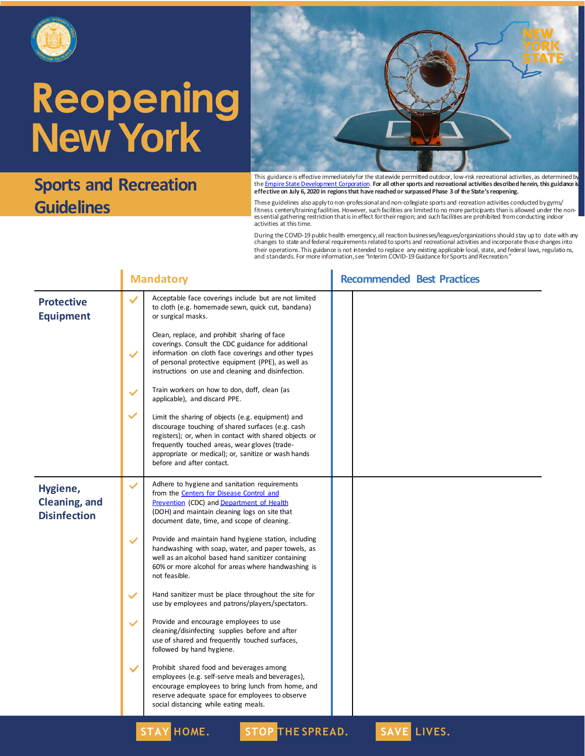

### **Sports and Recreation Guidelines**



This guidance is effective immediatelyfor the statewide permitted outdoor, low-risk recreational activities, as determined by<br>the <u>Empire State Development Corporation</u>. **For all other sports and recreational activities de effective on July 6, 2020 in regions that have reached or surpassed Phase 3 of the State's reopening.**

These guidelines also apply to non-professional and non-collegiate sports and recreation activities conducted by gyms/ fitness centers/training facilities. However, such facilities are limited to no more participants than is allowed under the nonessential gathering restriction that is in effect for their region; and such facilities are prohibited from conducting indoor activities at this time.

During the COVID-19 public health emergency, all reaction businesses/leagues/organizations should stay up to date with any<br>changes to state and federal requirements related to sports and recreational activities and incorpo their operations.This guidance is not intended to replace any existing applicable local, state, and federal laws, regulations,<br>and standards. For more information, see "Interim COVID-19 Guidance for Sports and Recreation.

|                                                  | <b>Mandatory</b> |                                                                                                                                                                                                                                                                                                       | <b>Recommended Best Practices</b> |  |  |
|--------------------------------------------------|------------------|-------------------------------------------------------------------------------------------------------------------------------------------------------------------------------------------------------------------------------------------------------------------------------------------------------|-----------------------------------|--|--|
| <b>Protective</b><br><b>Equipment</b>            | $\checkmark$     | Acceptable face coverings include but are not limited<br>to cloth (e.g. homemade sewn, quick cut, bandana)<br>or surgical masks.                                                                                                                                                                      |                                   |  |  |
|                                                  | $\checkmark$     | Clean, replace, and prohibit sharing of face<br>coverings. Consult the CDC guidance for additional<br>information on cloth face coverings and other types<br>of personal protective equipment (PPE), as well as<br>instructions on use and cleaning and disinfection.                                 |                                   |  |  |
|                                                  | $\checkmark$     | Train workers on how to don, doff, clean (as<br>applicable), and discard PPE.                                                                                                                                                                                                                         |                                   |  |  |
|                                                  | $\checkmark$     | Limit the sharing of objects (e.g. equipment) and<br>discourage touching of shared surfaces (e.g. cash<br>registers); or, when in contact with shared objects or<br>frequently touched areas, wear gloves (trade-<br>appropriate or medical); or, sanitize or wash hands<br>before and after contact. |                                   |  |  |
| Hygiene,<br>Cleaning, and<br><b>Disinfection</b> | $\checkmark$     | Adhere to hygiene and sanitation requirements<br>from the <b>Centers</b> for Disease Control and<br>Prevention (CDC) and Department of Health<br>(DOH) and maintain cleaning logs on site that<br>document date, time, and scope of cleaning.                                                         |                                   |  |  |
|                                                  | $\checkmark$     | Provide and maintain hand hygiene station, including<br>handwashing with soap, water, and paper towels, as<br>well as an alcohol based hand sanitizer containing<br>60% or more alcohol for areas where handwashing is<br>not feasible.                                                               |                                   |  |  |
|                                                  | $\checkmark$     | Hand sanitizer must be place throughout the site for<br>use by employees and patrons/players/spectators.                                                                                                                                                                                              |                                   |  |  |
|                                                  | $\checkmark$     | Provide and encourage employees to use<br>cleaning/disinfecting supplies before and after<br>use of shared and frequently touched surfaces,<br>followed by hand hygiene.                                                                                                                              |                                   |  |  |
|                                                  | $\checkmark$     | Prohibit shared food and beverages among<br>employees (e.g. self-serve meals and beverages),<br>encourage employees to bring lunch from home, and<br>reserve adequate space for employees to observe<br>social distancing while eating meals.                                                         |                                   |  |  |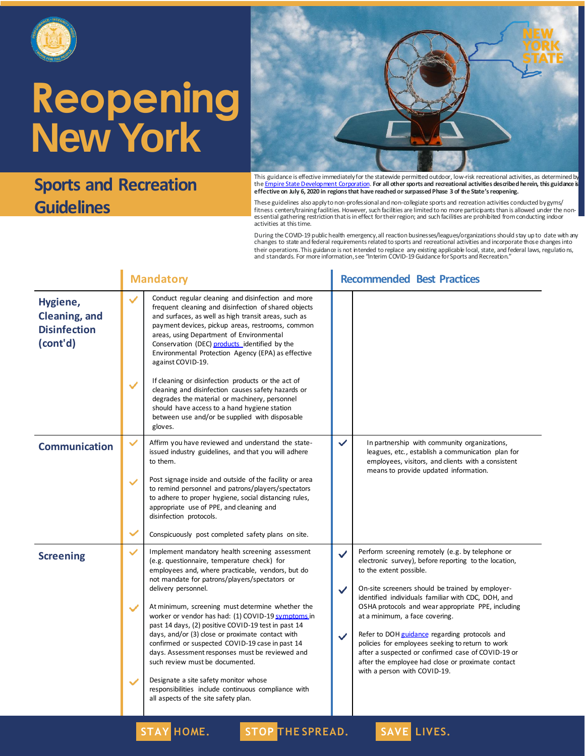

#### **Sports and Recreation Guidelines**



This guidance is effective immediatelyfor the statewide permitted outdoor, low-risk recreational activities, as determined by<br>the <u>Empire State Development Corporation</u>. **For all other sports and recreational activities de effective on July 6, 2020 in regions that have reached or surpassed Phase 3 of the State's reopening.**

These guidelines also apply to non-professional and non-collegiate sports and recreation activities conducted by gyms/ fitness centers/training facilities. However, such facilities are limited to no more participants than is allowed under the nonessential gathering restriction that is in effect for their region; and such facilities are prohibited from conducting indoor activities at this time.

During the COVID-19 public health emergency, all reaction businesses/leagues/organizations should stay up to date with any<br>changes to state and federal requirements related to sports and recreational activities and incorpo their operations.This guidance is not intended to replace any existing applicable local, state, and federal laws, regulations,<br>and standards. For more information, see "Interim COVID-19 Guidance for Sports and Recreation.

|                                                              |                                              | <b>Mandatory</b>                                                                                                                                                                                                                                                                                                                                                                                                                                                                                                                                                                                                                                                                                                                  |                                              | <b>Recommended Best Practices</b>                                                                                                                                                                                                                                                                                                                                                                                                                                                                                                                                                      |
|--------------------------------------------------------------|----------------------------------------------|-----------------------------------------------------------------------------------------------------------------------------------------------------------------------------------------------------------------------------------------------------------------------------------------------------------------------------------------------------------------------------------------------------------------------------------------------------------------------------------------------------------------------------------------------------------------------------------------------------------------------------------------------------------------------------------------------------------------------------------|----------------------------------------------|----------------------------------------------------------------------------------------------------------------------------------------------------------------------------------------------------------------------------------------------------------------------------------------------------------------------------------------------------------------------------------------------------------------------------------------------------------------------------------------------------------------------------------------------------------------------------------------|
| Hygiene,<br>Cleaning, and<br><b>Disinfection</b><br>(cont'd) | $\checkmark$<br>$\checkmark$                 | Conduct regular cleaning and disinfection and more<br>frequent cleaning and disinfection of shared objects<br>and surfaces, as well as high transit areas, such as<br>payment devices, pickup areas, restrooms, common<br>areas, using Department of Environmental<br>Conservation (DEC) products identified by the<br>Environmental Protection Agency (EPA) as effective<br>against COVID-19.<br>If cleaning or disinfection products or the act of<br>cleaning and disinfection causes safety hazards or<br>degrades the material or machinery, personnel<br>should have access to a hand hygiene station<br>between use and/or be supplied with disposable<br>gloves.                                                          |                                              |                                                                                                                                                                                                                                                                                                                                                                                                                                                                                                                                                                                        |
| <b>Communication</b>                                         | $\checkmark$<br>$\checkmark$<br>$\checkmark$ | Affirm you have reviewed and understand the state-<br>issued industry guidelines, and that you will adhere<br>to them.<br>Post signage inside and outside of the facility or area<br>to remind personnel and patrons/players/spectators<br>to adhere to proper hygiene, social distancing rules,<br>appropriate use of PPE, and cleaning and<br>disinfection protocols.<br>Conspicuously post completed safety plans on site.                                                                                                                                                                                                                                                                                                     | $\checkmark$                                 | In partnership with community organizations,<br>leagues, etc., establish a communication plan for<br>employees, visitors, and clients with a consistent<br>means to provide updated information.                                                                                                                                                                                                                                                                                                                                                                                       |
| <b>Screening</b>                                             | $\checkmark$<br>$\checkmark$<br>$\checkmark$ | Implement mandatory health screening assessment<br>(e.g. questionnaire, temperature check) for<br>employees and, where practicable, vendors, but do<br>not mandate for patrons/players/spectators or<br>delivery personnel.<br>At minimum, screening must determine whether the<br>worker or vendor has had: (1) COVID-19 symptoms in<br>past 14 days, (2) positive COVID-19 test in past 14<br>days, and/or (3) close or proximate contact with<br>confirmed or suspected COVID-19 case in past 14<br>days. Assessment responses must be reviewed and<br>such review must be documented.<br>Designate a site safety monitor whose<br>responsibilities include continuous compliance with<br>all aspects of the site safety plan. | $\checkmark$<br>$\checkmark$<br>$\checkmark$ | Perform screening remotely (e.g. by telephone or<br>electronic survey), before reporting to the location,<br>to the extent possible.<br>On-site screeners should be trained by employer-<br>identified individuals familiar with CDC, DOH, and<br>OSHA protocols and wear appropriate PPE, including<br>at a minimum, a face covering.<br>Refer to DOH guidance regarding protocols and<br>policies for employees seeking to return to work<br>after a suspected or confirmed case of COVID-19 or<br>after the employee had close or proximate contact<br>with a person with COVID-19. |